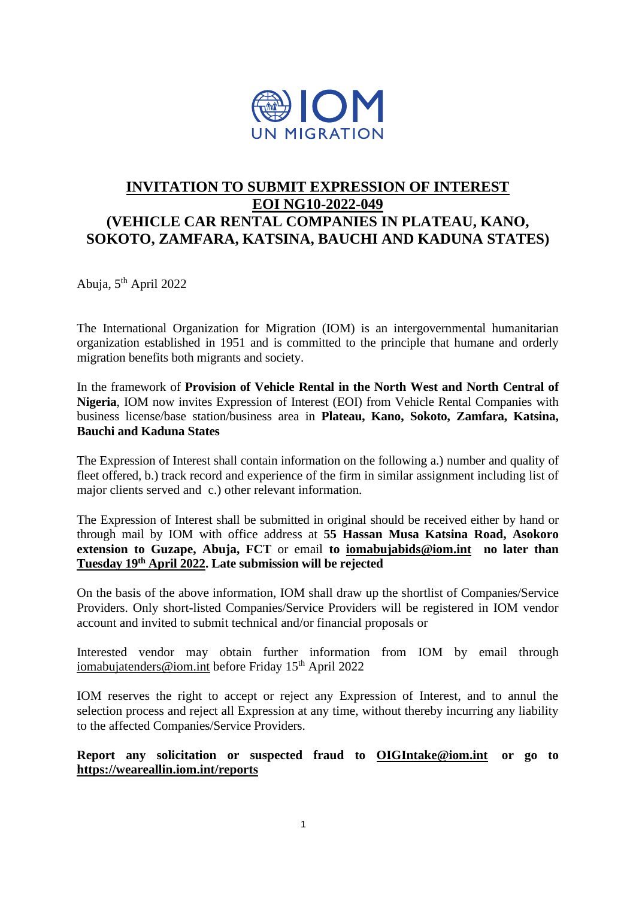

# **INVITATION TO SUBMIT EXPRESSION OF INTEREST EOI NG10-2022-049 (VEHICLE CAR RENTAL COMPANIES IN PLATEAU, KANO, SOKOTO, ZAMFARA, KATSINA, BAUCHI AND KADUNA STATES)**

Abuja, 5th April 2022

The International Organization for Migration (IOM) is an intergovernmental humanitarian organization established in 1951 and is committed to the principle that humane and orderly migration benefits both migrants and society.

In the framework of **Provision of Vehicle Rental in the North West and North Central of Nigeria**, IOM now invites Expression of Interest (EOI) from Vehicle Rental Companies with business license/base station/business area in **Plateau, Kano, Sokoto, Zamfara, Katsina, Bauchi and Kaduna States**

The Expression of Interest shall contain information on the following a.) number and quality of fleet offered, b.) track record and experience of the firm in similar assignment including list of major clients served and c.) other relevant information.

The Expression of Interest shall be submitted in original should be received either by hand or through mail by IOM with office address at **55 Hassan Musa Katsina Road, Asokoro extension to Guzape, Abuja, FCT** or email **to [iomabujabids@iom.int](mailto:iomabujabids@iom.int) no later than Tuesday 19th April 2022. Late submission will be rejected**

On the basis of the above information, IOM shall draw up the shortlist of Companies/Service Providers. Only short-listed Companies/Service Providers will be registered in IOM vendor account and invited to submit technical and/or financial proposals or

Interested vendor may obtain further information from IOM by email through [iomabujatenders@iom.int](mailto:iomabujatenders@iom.int) before Friday  $15<sup>th</sup>$  April 2022

IOM reserves the right to accept or reject any Expression of Interest, and to annul the selection process and reject all Expression at any time, without thereby incurring any liability to the affected Companies/Service Providers.

**Report any solicitation or suspected fraud to [OIGIntake@iom.int](mailto:OIGIntake@iom.int) or go to <https://weareallin.iom.int/reports>**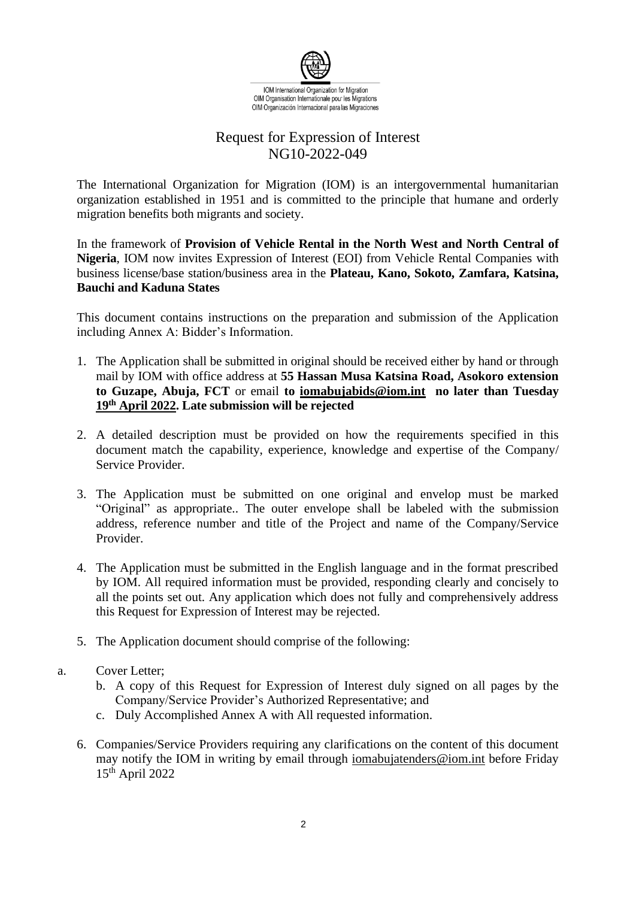

## Request for Expression of Interest NG10-2022-049

The International Organization for Migration (IOM) is an intergovernmental humanitarian organization established in 1951 and is committed to the principle that humane and orderly migration benefits both migrants and society.

In the framework of **Provision of Vehicle Rental in the North West and North Central of Nigeria**, IOM now invites Expression of Interest (EOI) from Vehicle Rental Companies with business license/base station/business area in the **Plateau, Kano, Sokoto, Zamfara, Katsina, Bauchi and Kaduna States**

This document contains instructions on the preparation and submission of the Application including Annex A: Bidder's Information.

- 1. The Application shall be submitted in original should be received either by hand or through mail by IOM with office address at **55 Hassan Musa Katsina Road, Asokoro extension to Guzape, Abuja, FCT** or email **to [iomabujabids@iom.int](mailto:iomabujabids@iom.int) no later than Tuesday 19th April 2022. Late submission will be rejected**
- 2. A detailed description must be provided on how the requirements specified in this document match the capability, experience, knowledge and expertise of the Company/ Service Provider.
- 3. The Application must be submitted on one original and envelop must be marked "Original" as appropriate.. The outer envelope shall be labeled with the submission address, reference number and title of the Project and name of the Company/Service Provider.
- 4. The Application must be submitted in the English language and in the format prescribed by IOM. All required information must be provided, responding clearly and concisely to all the points set out. Any application which does not fully and comprehensively address this Request for Expression of Interest may be rejected.
- 5. The Application document should comprise of the following:
- a. Cover Letter;
	- b. A copy of this Request for Expression of Interest duly signed on all pages by the Company/Service Provider's Authorized Representative; and
	- c. Duly Accomplished Annex A with All requested information.
	- 6. Companies/Service Providers requiring any clarifications on the content of this document may notify the IOM in writing by email through [iomabujatenders@iom.int](mailto:iomabujatenders@iom.int) before Friday  $15<sup>th</sup>$  April 2022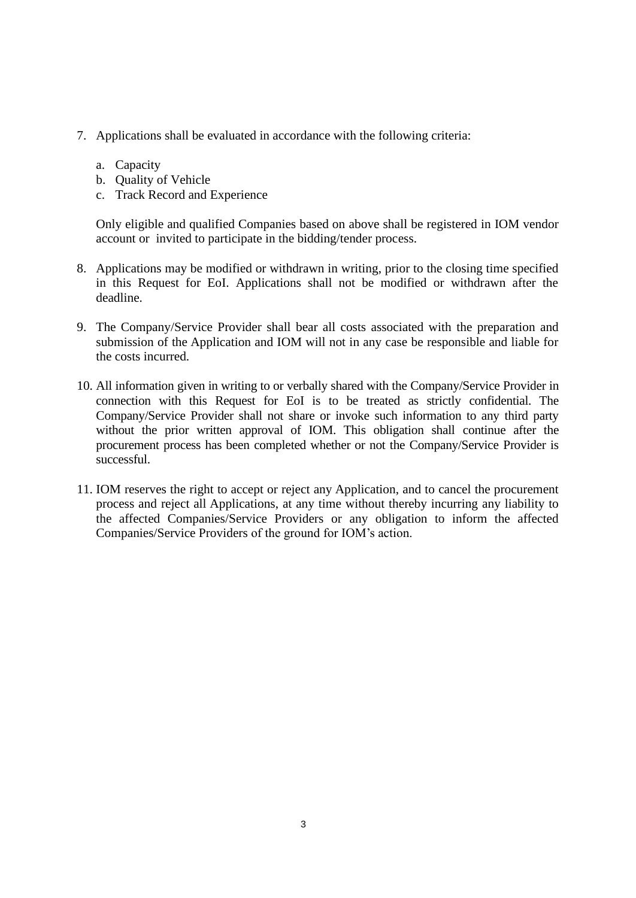- 7. Applications shall be evaluated in accordance with the following criteria:
	- a. Capacity
	- b. Quality of Vehicle
	- c. Track Record and Experience

Only eligible and qualified Companies based on above shall be registered in IOM vendor account or invited to participate in the bidding/tender process.

- 8. Applications may be modified or withdrawn in writing, prior to the closing time specified in this Request for EoI. Applications shall not be modified or withdrawn after the deadline.
- 9. The Company/Service Provider shall bear all costs associated with the preparation and submission of the Application and IOM will not in any case be responsible and liable for the costs incurred.
- 10. All information given in writing to or verbally shared with the Company/Service Provider in connection with this Request for EoI is to be treated as strictly confidential. The Company/Service Provider shall not share or invoke such information to any third party without the prior written approval of IOM. This obligation shall continue after the procurement process has been completed whether or not the Company/Service Provider is successful.
- 11. IOM reserves the right to accept or reject any Application, and to cancel the procurement process and reject all Applications, at any time without thereby incurring any liability to the affected Companies/Service Providers or any obligation to inform the affected Companies/Service Providers of the ground for IOM's action.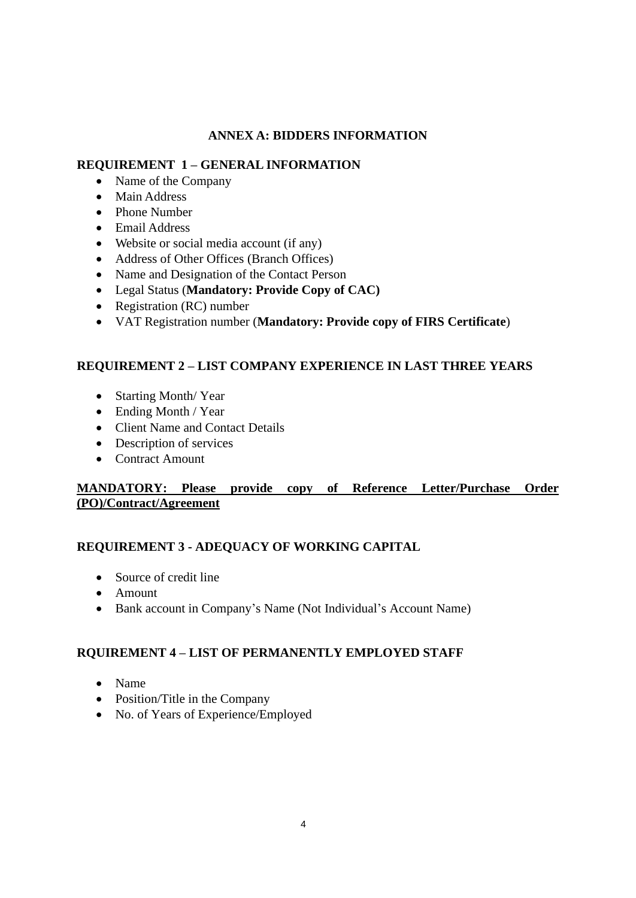## **ANNEX A: BIDDERS INFORMATION**

### **REQUIREMENT 1 – GENERAL INFORMATION**

- Name of the Company
- Main Address
- Phone Number
- Email Address
- Website or social media account (if any)
- Address of Other Offices (Branch Offices)
- Name and Designation of the Contact Person
- Legal Status (**Mandatory: Provide Copy of CAC)**
- Registration (RC) number
- VAT Registration number (**Mandatory: Provide copy of FIRS Certificate**)

## **REQUIREMENT 2 – LIST COMPANY EXPERIENCE IN LAST THREE YEARS**

- Starting Month/Year
- Ending Month / Year
- Client Name and Contact Details
- Description of services
- Contract Amount

## **MANDATORY: Please provide copy of Reference Letter/Purchase Order (PO)/Contract/Agreement**

## **REQUIREMENT 3 - ADEQUACY OF WORKING CAPITAL**

- Source of credit line
- Amount
- Bank account in Company's Name (Not Individual's Account Name)

## **RQUIREMENT 4 – LIST OF PERMANENTLY EMPLOYED STAFF**

- Name
- Position/Title in the Company
- No. of Years of Experience/Employed